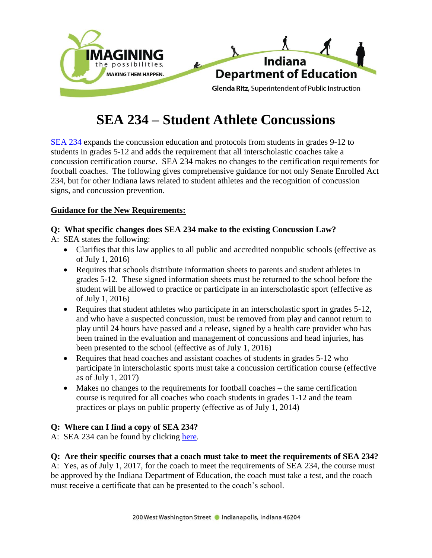

# **SEA 234 – Student Athlete Concussions**

[SEA 234](http://iga.in.gov/legislative/2016/bills/senate/234) expands the concussion education and protocols from students in grades 9-12 to students in grades 5-12 and adds the requirement that all interscholastic coaches take a concussion certification course. SEA 234 makes no changes to the certification requirements for football coaches. The following gives comprehensive guidance for not only Senate Enrolled Act 234, but for other Indiana laws related to student athletes and the recognition of concussion signs, and concussion prevention.

# **Guidance for the New Requirements:**

# **Q: What specific changes does SEA 234 make to the existing Concussion Law?**

A: SEA states the following:

- Clarifies that this law applies to all public and accredited nonpublic schools (effective as of July 1, 2016)
- Requires that schools distribute information sheets to parents and student athletes in grades 5-12. These signed information sheets must be returned to the school before the student will be allowed to practice or participate in an interscholastic sport (effective as of July 1, 2016)
- Requires that student athletes who participate in an interscholastic sport in grades 5-12, and who have a suspected concussion, must be removed from play and cannot return to play until 24 hours have passed and a release, signed by a health care provider who has been trained in the evaluation and management of concussions and head injuries, has been presented to the school (effective as of July 1, 2016)
- Requires that head coaches and assistant coaches of students in grades 5-12 who participate in interscholastic sports must take a concussion certification course (effective as of July 1, 2017)
- Makes no changes to the requirements for football coaches the same certification course is required for all coaches who coach students in grades 1-12 and the team practices or plays on public property (effective as of July 1, 2014)

# **Q: Where can I find a copy of SEA 234?**

A: SEA 234 can be found by clicking [here.](http://iga.in.gov/legislative/2016/bills/senate/234)

# **Q: Are their specific courses that a coach must take to meet the requirements of SEA 234?**

A: Yes, as of July 1, 2017, for the coach to meet the requirements of SEA 234, the course must be approved by the Indiana Department of Education, the coach must take a test, and the coach must receive a certificate that can be presented to the coach's school.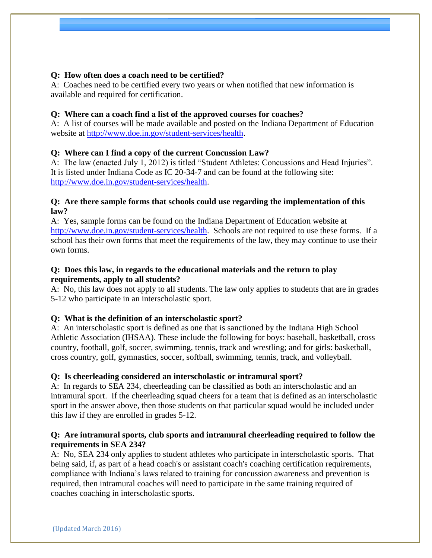## **Q: How often does a coach need to be certified?**

A: Coaches need to be certified every two years or when notified that new information is available and required for certification.

### **Q: Where can a coach find a list of the approved courses for coaches?**

A: A list of courses will be made available and posted on the Indiana Department of Education website at [http://www.doe.in.gov/student-services/health.](http://www.doe.in.gov/student-services/health)

## **Q: Where can I find a copy of the current Concussion Law?**

A: The law (enacted July 1, 2012) is titled "Student Athletes: Concussions and Head Injuries". It is listed under Indiana Code as IC 20-34-7 and can be found at the following site: [http://www.doe.in.gov/student-services/health.](http://www.doe.in.gov/student-services/health)

#### **Q: Are there sample forms that schools could use regarding the implementation of this law?**

A: Yes, sample forms can be found on the Indiana Department of Education website at [http://www.doe.in.gov/student-services/health.](http://www.doe.in.gov/student-services/health) Schools are not required to use these forms. If a school has their own forms that meet the requirements of the law, they may continue to use their own forms.

## **Q: Does this law, in regards to the educational materials and the return to play requirements, apply to all students?**

A: No, this law does not apply to all students. The law only applies to students that are in grades 5-12 who participate in an interscholastic sport.

#### **Q: What is the definition of an interscholastic sport?**

A: An interscholastic sport is defined as one that is sanctioned by the Indiana High School Athletic Association (IHSAA). These include the following for boys: baseball, basketball, cross country, football, golf, soccer, swimming, tennis, track and wrestling; and for girls: basketball, cross country, golf, gymnastics, soccer, softball, swimming, tennis, track, and volleyball.

## **Q: Is cheerleading considered an interscholastic or intramural sport?**

A: In regards to SEA 234, cheerleading can be classified as both an interscholastic and an intramural sport. If the cheerleading squad cheers for a team that is defined as an interscholastic sport in the answer above, then those students on that particular squad would be included under this law if they are enrolled in grades 5-12.

## **Q: Are intramural sports, club sports and intramural cheerleading required to follow the requirements in SEA 234?**

A: No, SEA 234 only applies to student athletes who participate in interscholastic sports. That being said, if, as part of a head coach's or assistant coach's coaching certification requirements, compliance with Indiana's laws related to training for concussion awareness and prevention is required, then intramural coaches will need to participate in the same training required of coaches coaching in interscholastic sports.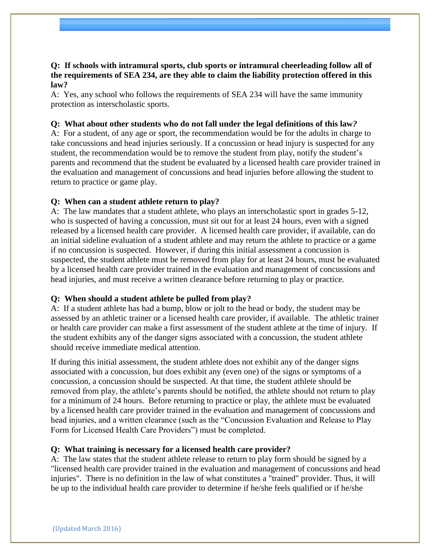# **Q: If schools with intramural sports, club sports or intramural cheerleading follow all of the requirements of SEA 234, are they able to claim the liability protection offered in this law?**

A: Yes, any school who follows the requirements of SEA 234 will have the same immunity protection as interscholastic sports.

### **Q: What about other students who do not fall under the legal definitions of this law***?*

A: For a student, of any age or sport, the recommendation would be for the adults in charge to take concussions and head injuries seriously. If a concussion or head injury is suspected for any student, the recommendation would be to remove the student from play, notify the student's parents and recommend that the student be evaluated by a licensed health care provider trained in the evaluation and management of concussions and head injuries before allowing the student to return to practice or game play.

#### **Q: When can a student athlete return to play?**

A: The law mandates that a student athlete, who plays an interscholastic sport in grades 5-12, who is suspected of having a concussion, must sit out for at least 24 hours, even with a signed released by a licensed health care provider. A licensed health care provider, if available, can do an initial sideline evaluation of a student athlete and may return the athlete to practice or a game if no concussion is suspected. However, if during this initial assessment a concussion is suspected, the student athlete must be removed from play for at least 24 hours, must be evaluated by a licensed health care provider trained in the evaluation and management of concussions and head injuries, and must receive a written clearance before returning to play or practice.

#### **Q: When should a student athlete be pulled from play?**

A: If a student athlete has had a bump, blow or jolt to the head or body, the student may be assessed by an athletic trainer or a licensed health care provider, if available. The athletic trainer or health care provider can make a first assessment of the student athlete at the time of injury. If the student exhibits any of the danger signs associated with a concussion, the student athlete should receive immediate medical attention.

If during this initial assessment, the student athlete does not exhibit any of the danger signs associated with a concussion, but does exhibit any (even one) of the signs or symptoms of a concussion, a concussion should be suspected. At that time, the student athlete should be removed from play, the athlete's parents should be notified, the athlete should not return to play for a minimum of 24 hours. Before returning to practice or play, the athlete must be evaluated by a licensed health care provider trained in the evaluation and management of concussions and head injuries, and a written clearance (such as the "Concussion Evaluation and Release to Play Form for Licensed Health Care Providers") must be completed.

#### **Q: What training is necessary for a licensed health care provider?**

A: The law states that the student athlete release to return to play form should be signed by a "licensed health care provider trained in the evaluation and management of concussions and head injuries". There is no definition in the law of what constitutes a "trained" provider. Thus, it will be up to the individual health care provider to determine if he/she feels qualified or if he/she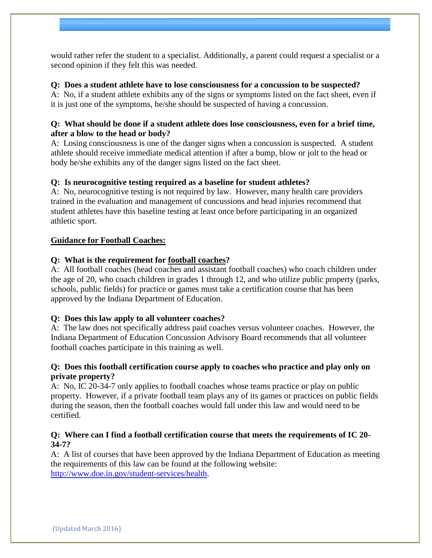would rather refer the student to a specialist. Additionally, a parent could request a specialist or a second opinion if they felt this was needed.

# **Q: Does a student athlete have to lose consciousness for a concussion to be suspected?**

A: No, if a student athlete exhibits any of the signs or symptoms listed on the fact sheet, even if it is just one of the symptoms, he/she should be suspected of having a concussion.

## **Q: What should be done if a student athlete does lose consciousness, even for a brief time, after a blow to the head or body?**

A: Losing consciousness is one of the danger signs when a concussion is suspected. A student athlete should receive immediate medical attention if after a bump, blow or jolt to the head or body he/she exhibits any of the danger signs listed on the fact sheet.

# **Q: Is neurocognitive testing required as a baseline for student athletes?**

A: No, neurocognitive testing is not required by law. However, many health care providers trained in the evaluation and management of concussions and head injuries recommend that student athletes have this baseline testing at least once before participating in an organized athletic sport.

# **Guidance for Football Coaches:**

# **Q: What is the requirement for football coaches?**

A: All football coaches (head coaches and assistant football coaches) who coach children under the age of 20, who coach children in grades 1 through 12, and who utilize public property (parks, schools, public fields) for practice or games must take a certification course that has been approved by the Indiana Department of Education.

# **Q: Does this law apply to all volunteer coaches?**

A: The law does not specifically address paid coaches versus volunteer coaches. However, the Indiana Department of Education Concussion Advisory Board recommends that all volunteer football coaches participate in this training as well.

# **Q: Does this football certification course apply to coaches who practice and play only on private property?**

A: No, IC 20-34-7 only applies to football coaches whose teams practice or play on public property. However, if a private football team plays any of its games or practices on public fields during the season, then the football coaches would fall under this law and would need to be certified.

# **Q: Where can I find a football certification course that meets the requirements of IC 20- 34-7?**

A: A list of courses that have been approved by the Indiana Department of Education as meeting the requirements of this law can be found at the following website: [http://www.doe.in.gov/student-services/health.](http://www.doe.in.gov/student-services/health)